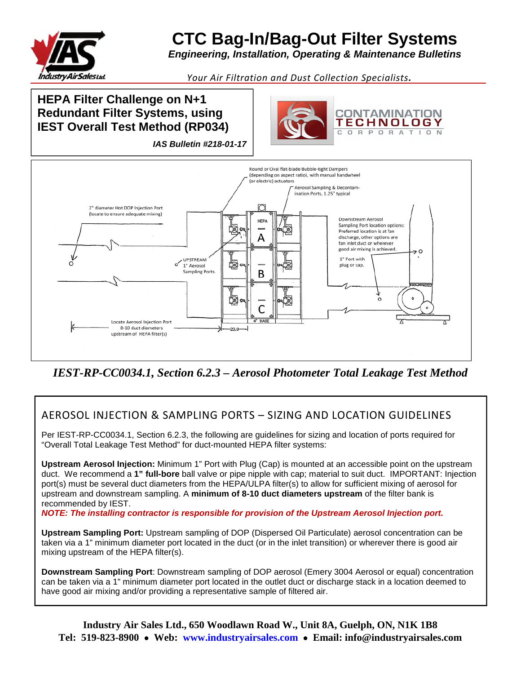

## **CTC Bag-In/Bag-Out Filter Systems**

*Engineering, Installation, Operating & Maintenance Bulletins* 

*Your Air Filtration and Dust Collection Specialists.*

## **HEPA Filter Challenge on N+1 Redundant Filter Systems, using IEST Overall Test Method (RP034)**





*IEST-RP-CC0034.1, Section 6.2.3 – Aerosol Photometer Total Leakage Test Method* 

## AEROSOL INJECTION & SAMPLING PORTS – SIZING AND LOCATION GUIDELINES

Per IEST-RP-CC0034.1, Section 6.2.3, the following are guidelines for sizing and location of ports required for "Overall Total Leakage Test Method" for duct-mounted HEPA filter systems:

**Upstream Aerosol Injection:** Minimum 1" Port with Plug (Cap) is mounted at an accessible point on the upstream duct. We recommend a **1" full-bore** ball valve or pipe nipple with cap; material to suit duct. IMPORTANT: Injection port(s) must be several duct diameters from the HEPA/ULPA filter(s) to allow for sufficient mixing of aerosol for upstream and downstream sampling. A **minimum of 8-10 duct diameters upstream** of the filter bank is recommended by IEST.

*NOTE: The installing contractor is responsible for provision of the Upstream Aerosol Injection port.* 

**Upstream Sampling Port:** Upstream sampling of DOP (Dispersed Oil Particulate) aerosol concentration can be taken via a 1" minimum diameter port located in the duct (or in the inlet transition) or wherever there is good air mixing upstream of the HEPA filter(s).

**Downstream Sampling Port**: Downstream sampling of DOP aerosol (Emery 3004 Aerosol or equal) concentration can be taken via a 1" minimum diameter port located in the outlet duct or discharge stack in a location deemed to have good air mixing and/or providing a representative sample of filtered air.